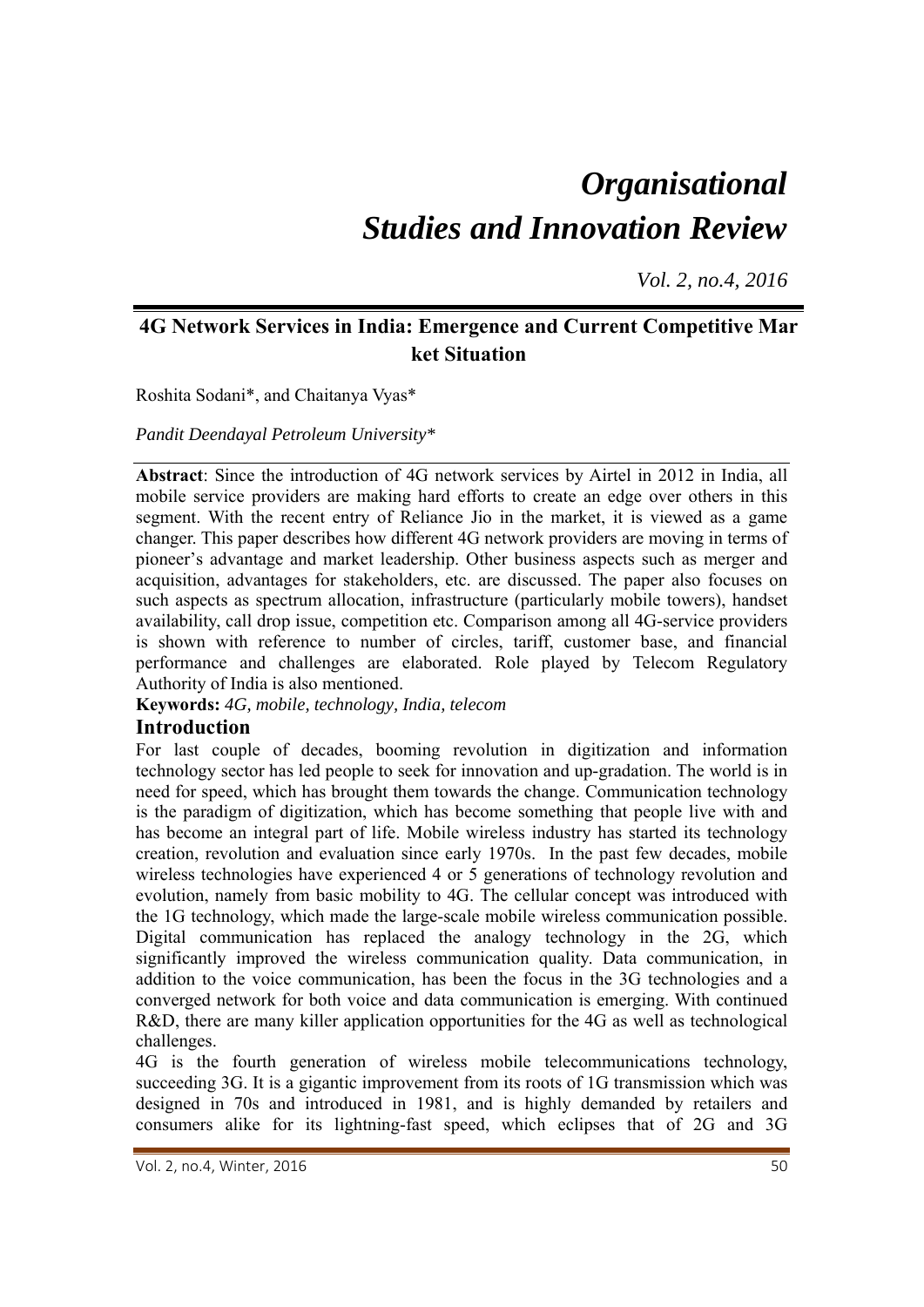# *Organisational Studies and Innovation Review*

*Vol. 2, no.4, 2016*

## **4G Network Services in India: Emergence and Current Competitive Mar ket Situation**

Roshita Sodani\*, and Chaitanya Vyas\*

*Pandit Deendayal Petroleum University\** 

**Abstract**: Since the introduction of 4G network services by Airtel in 2012 in India, all mobile service providers are making hard efforts to create an edge over others in this segment. With the recent entry of Reliance Jio in the market, it is viewed as a game changer. This paper describes how different 4G network providers are moving in terms of pioneer's advantage and market leadership. Other business aspects such as merger and acquisition, advantages for stakeholders, etc. are discussed. The paper also focuses on such aspects as spectrum allocation, infrastructure (particularly mobile towers), handset availability, call drop issue, competition etc. Comparison among all 4G-service providers is shown with reference to number of circles, tariff, customer base, and financial performance and challenges are elaborated. Role played by Telecom Regulatory Authority of India is also mentioned.

**Keywords:** *4G, mobile, technology, India, telecom* 

#### **Introduction**

For last couple of decades, booming revolution in digitization and information technology sector has led people to seek for innovation and up-gradation. The world is in need for speed, which has brought them towards the change. Communication technology is the paradigm of digitization, which has become something that people live with and has become an integral part of life. Mobile wireless industry has started its technology creation, revolution and evaluation since early 1970s. In the past few decades, mobile wireless technologies have experienced 4 or 5 generations of technology revolution and evolution, namely from basic mobility to 4G. The cellular concept was introduced with the 1G technology, which made the large-scale mobile wireless communication possible. Digital communication has replaced the analogy technology in the 2G, which significantly improved the wireless communication quality. Data communication, in addition to the voice communication, has been the focus in the 3G technologies and a converged network for both voice and data communication is emerging. With continued R&D, there are many killer application opportunities for the 4G as well as technological challenges.

4G is the fourth generation of wireless mobile telecommunications technology, succeeding 3G. It is a gigantic improvement from its roots of 1G transmission which was designed in 70s and introduced in 1981, and is highly demanded by retailers and consumers alike for its lightning-fast speed, which eclipses that of 2G and 3G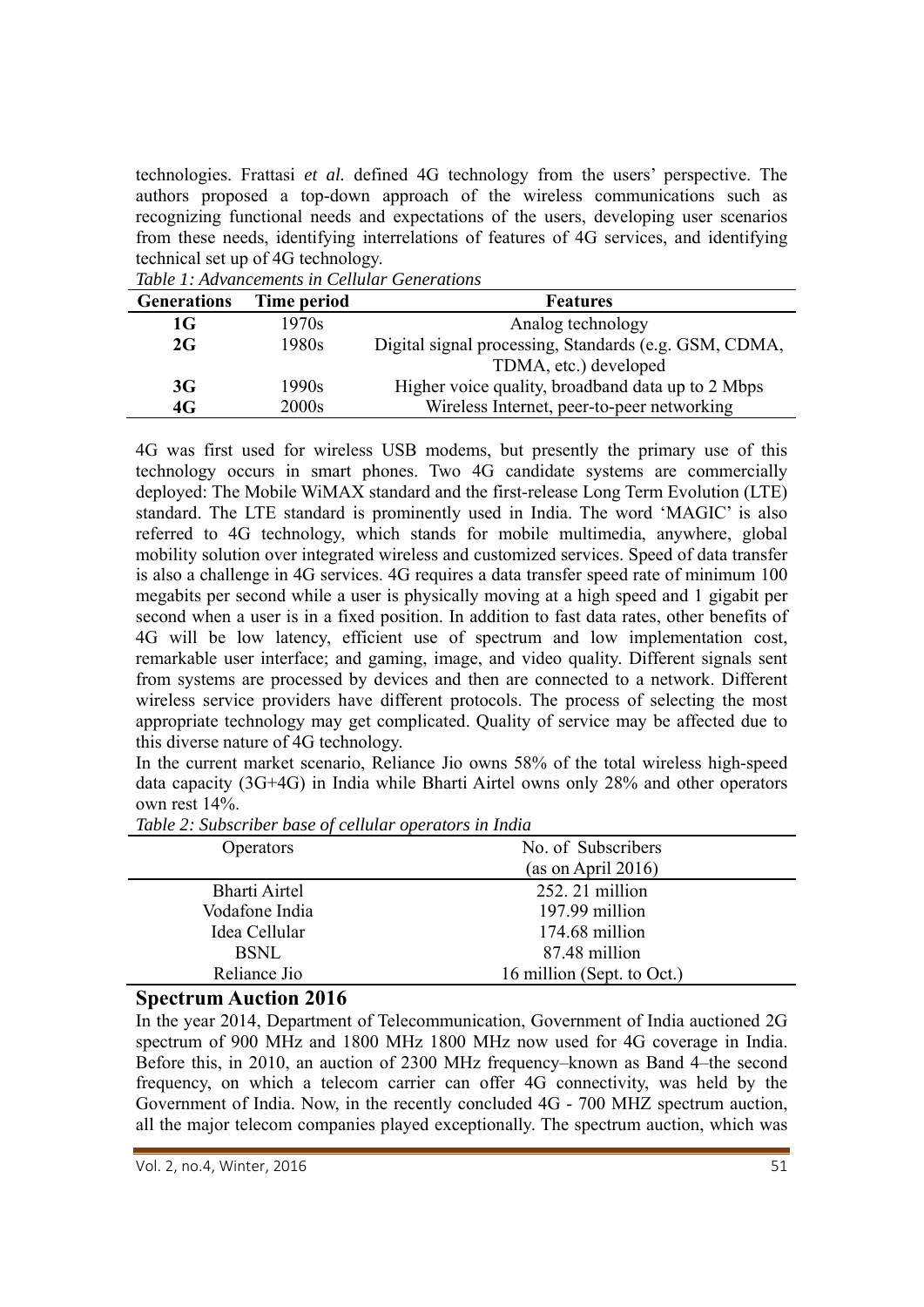technologies. Frattasi *et al.* defined 4G technology from the users' perspective. The authors proposed a top-down approach of the wireless communications such as recognizing functional needs and expectations of the users, developing user scenarios from these needs, identifying interrelations of features of 4G services, and identifying technical set up of 4G technology.

| Tuble 1. Automeentens in Centrul Ochernons |             |                                                       |  |  |  |  |  |
|--------------------------------------------|-------------|-------------------------------------------------------|--|--|--|--|--|
| <b>Generations</b>                         | Time period | <b>Features</b>                                       |  |  |  |  |  |
| 1G                                         | 1970s       | Analog technology                                     |  |  |  |  |  |
| 2G                                         | 1980s       | Digital signal processing, Standards (e.g. GSM, CDMA, |  |  |  |  |  |
|                                            |             | TDMA, etc.) developed                                 |  |  |  |  |  |
| 3G                                         | 1990s       | Higher voice quality, broadband data up to 2 Mbps     |  |  |  |  |  |
| 4G                                         | 2000s       | Wireless Internet, peer-to-peer networking            |  |  |  |  |  |

*Table 1: Advancements in Cellular Generations* 

4G was first used for wireless USB modems, but presently the primary use of this technology occurs in smart phones. Two 4G candidate systems are commercially deployed: The Mobile WiMAX standard and the first-release Long Term Evolution (LTE) standard. The LTE standard is prominently used in India. The word 'MAGIC' is also referred to 4G technology, which stands for mobile multimedia, anywhere, global mobility solution over integrated wireless and customized services. Speed of data transfer is also a challenge in 4G services. 4G requires a data transfer speed rate of minimum 100 megabits per second while a user is physically moving at a high speed and 1 gigabit per second when a user is in a fixed position. In addition to fast data rates, other benefits of 4G will be low latency, efficient use of spectrum and low implementation cost, remarkable user interface; and gaming, image, and video quality. Different signals sent from systems are processed by devices and then are connected to a network. Different wireless service providers have different protocols. The process of selecting the most appropriate technology may get complicated. Quality of service may be affected due to this diverse nature of 4G technology.

In the current market scenario, Reliance Jio owns 58% of the total wireless high-speed data capacity (3G+4G) in India while Bharti Airtel owns only 28% and other operators own rest 14%.

| <b>Operators</b> | No. of Subscribers         |  |  |  |
|------------------|----------------------------|--|--|--|
|                  | (as on April 2016)         |  |  |  |
| Bharti Airtel    | $252.21$ million           |  |  |  |
| Vodafone India   | 197.99 million             |  |  |  |
| Idea Cellular    | 174.68 million             |  |  |  |
| BSNL             | 87.48 million              |  |  |  |
| Reliance Jio     | 16 million (Sept. to Oct.) |  |  |  |
|                  |                            |  |  |  |

*Table 2: Subscriber base of cellular operators in India* 

#### **Spectrum Auction 2016**

In the year 2014, Department of Telecommunication, Government of India auctioned 2G spectrum of 900 MHz and 1800 MHz 1800 MHz now used for 4G coverage in India. Before this, in 2010, an auction of 2300 MHz frequency–known as Band 4–the second frequency, on which a telecom carrier can offer 4G connectivity, was held by the Government of India. Now, in the recently concluded 4G - 700 MHZ spectrum auction, all the major telecom companies played exceptionally. The spectrum auction, which was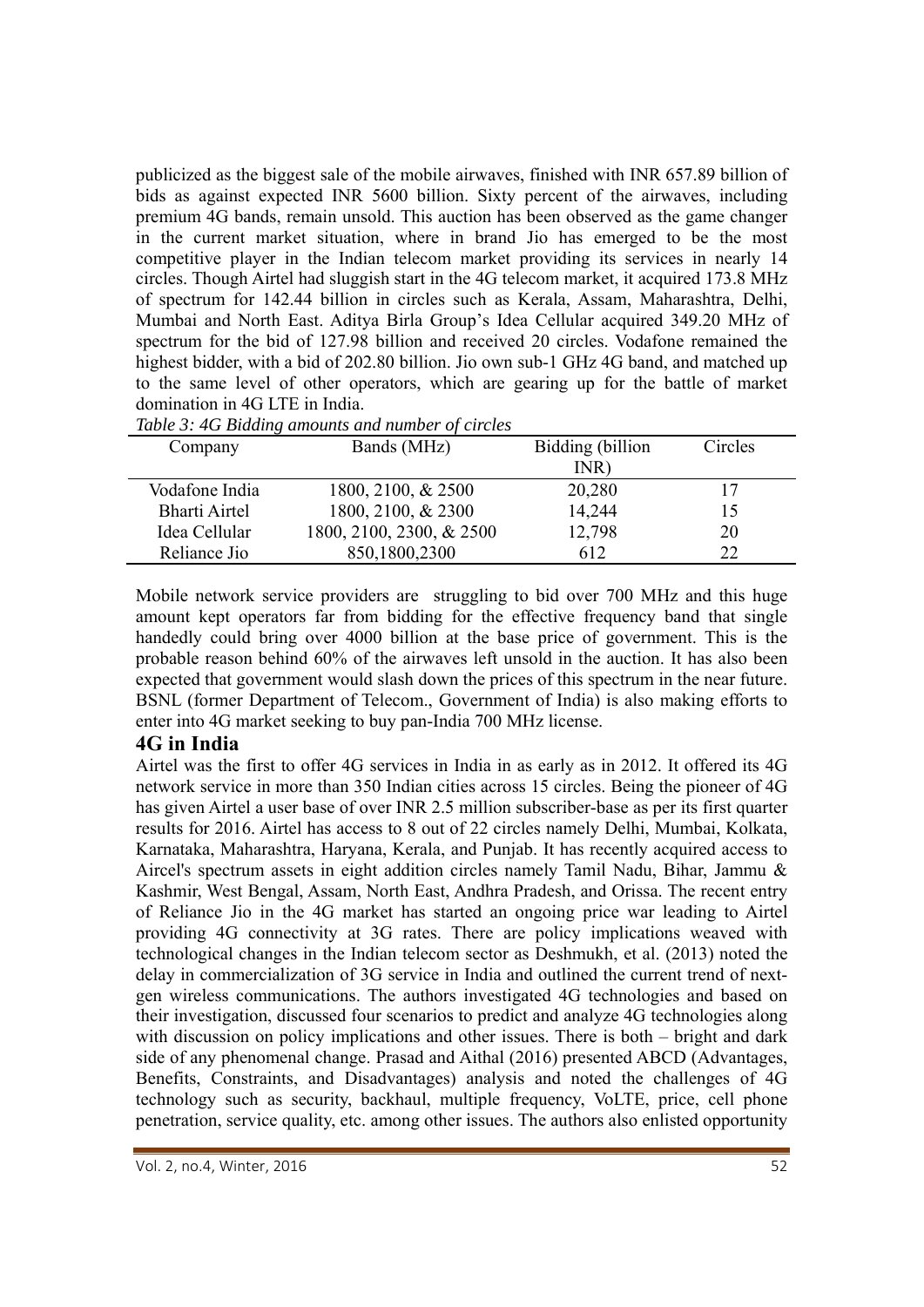publicized as the biggest sale of the mobile airwaves, finished with INR 657.89 billion of bids as against expected INR 5600 billion. Sixty percent of the airwaves, including premium 4G bands, remain unsold. This auction has been observed as the game changer in the current market situation, where in brand Jio has emerged to be the most competitive player in the Indian telecom market providing its services in nearly 14 circles. Though Airtel had sluggish start in the 4G telecom market, it acquired 173.8 MHz of spectrum for 142.44 billion in circles such as Kerala, Assam, Maharashtra, Delhi, Mumbai and North East. Aditya Birla Group's Idea Cellular acquired 349.20 MHz of spectrum for the bid of 127.98 billion and received 20 circles. Vodafone remained the highest bidder, with a bid of 202.80 billion. Jio own sub-1 GHz 4G band, and matched up to the same level of other operators, which are gearing up for the battle of market domination in 4G LTE in India.

| Table 5. TO Diagnize amounts and number of circles |                          |                  |         |  |  |  |  |
|----------------------------------------------------|--------------------------|------------------|---------|--|--|--|--|
| Company                                            | Bands (MHz)              | Bidding (billion | Circles |  |  |  |  |
|                                                    |                          | INR)             |         |  |  |  |  |
| Vodafone India                                     | 1800, 2100, & 2500       | 20,280           |         |  |  |  |  |
| <b>Bharti Airtel</b>                               | 1800, 2100, & 2300       | 14,244           | 15      |  |  |  |  |
| Idea Cellular                                      | 1800, 2100, 2300, & 2500 | 12,798           | 20      |  |  |  |  |
| Reliance Jio                                       | 850,1800,2300            | 612              | 22      |  |  |  |  |

*Table 3: 4G Bidding amounts and number of circles* 

Mobile network service providers are struggling to bid over 700 MHz and this huge amount kept operators far from bidding for the effective frequency band that single handedly could bring over 4000 billion at the base price of government. This is the probable reason behind 60% of the airwaves left unsold in the auction. It has also been expected that government would slash down the prices of this spectrum in the near future. BSNL (former Department of Telecom., Government of India) is also making efforts to enter into 4G market seeking to buy pan-India 700 MHz license.

#### **4G in India**

Airtel was the first to offer 4G services in India in as early as in 2012. It offered its 4G network service in more than 350 Indian cities across 15 circles. Being the pioneer of 4G has given Airtel a user base of over INR 2.5 million subscriber-base as per its first quarter results for 2016. Airtel has access to 8 out of 22 circles namely Delhi, Mumbai, Kolkata, Karnataka, Maharashtra, Haryana, Kerala, and Punjab. It has recently acquired access to Aircel's spectrum assets in eight addition circles namely Tamil Nadu, Bihar, Jammu & Kashmir, West Bengal, Assam, North East, Andhra Pradesh, and Orissa. The recent entry of Reliance Jio in the 4G market has started an ongoing price war leading to Airtel providing 4G connectivity at 3G rates. There are policy implications weaved with technological changes in the Indian telecom sector as Deshmukh, et al. (2013) noted the delay in commercialization of 3G service in India and outlined the current trend of nextgen wireless communications. The authors investigated 4G technologies and based on their investigation, discussed four scenarios to predict and analyze 4G technologies along with discussion on policy implications and other issues. There is both – bright and dark side of any phenomenal change. Prasad and Aithal (2016) presented ABCD (Advantages, Benefits, Constraints, and Disadvantages) analysis and noted the challenges of 4G technology such as security, backhaul, multiple frequency, VoLTE, price, cell phone penetration, service quality, etc. among other issues. The authors also enlisted opportunity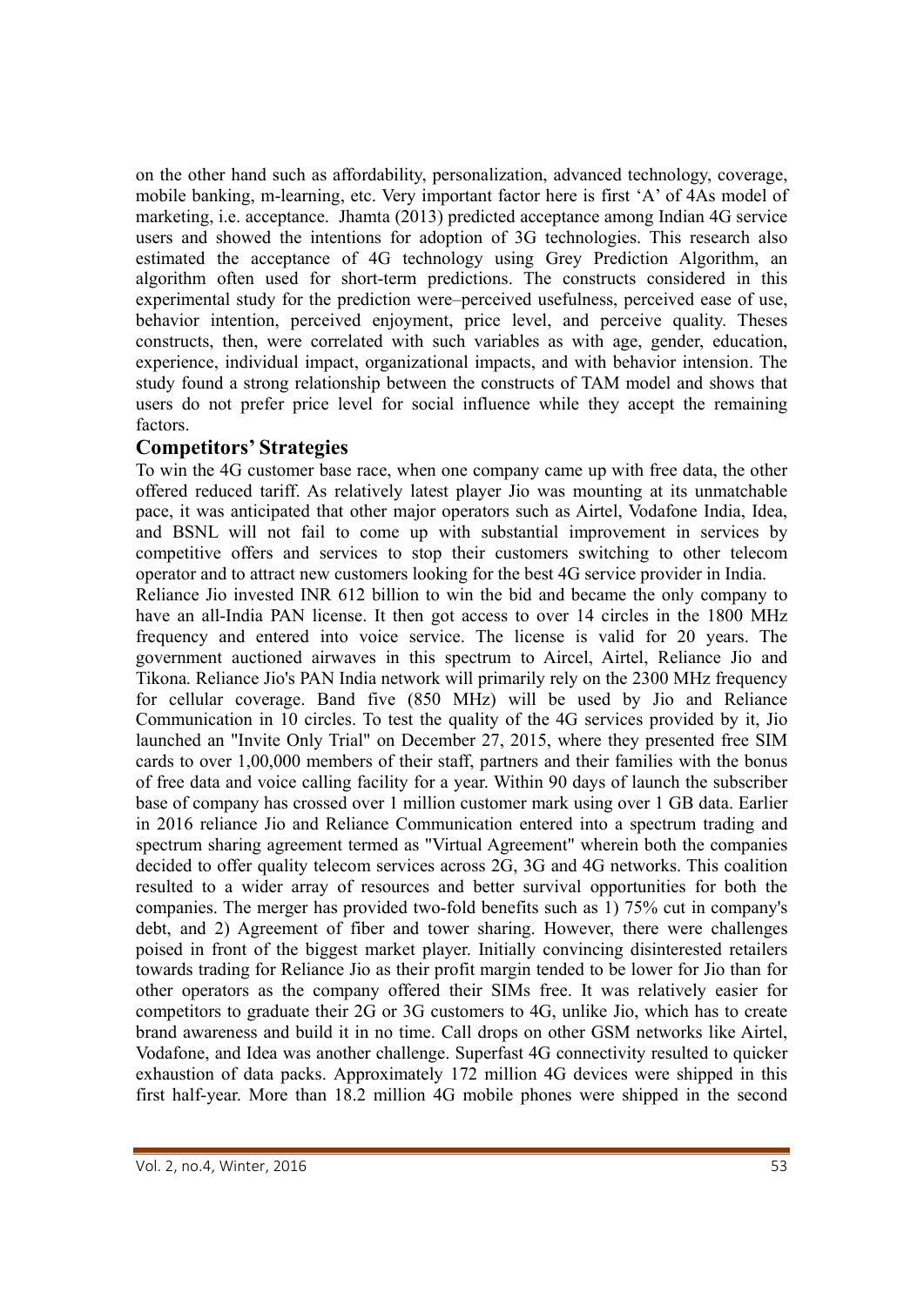on the other hand such as affordability, personalization, advanced technology, coverage, mobile banking, m-learning, etc. Very important factor here is first 'A' of 4As model of marketing, i.e. acceptance. Jhamta (2013) predicted acceptance among Indian 4G service users and showed the intentions for adoption of 3G technologies. This research also estimated the acceptance of 4G technology using Grey Prediction Algorithm, an algorithm often used for short-term predictions. The constructs considered in this experimental study for the prediction were–perceived usefulness, perceived ease of use, behavior intention, perceived enjoyment, price level, and perceive quality. Theses constructs, then, were correlated with such variables as with age, gender, education, experience, individual impact, organizational impacts, and with behavior intension. The study found a strong relationship between the constructs of TAM model and shows that users do not prefer price level for social influence while they accept the remaining factors.

### **Competitors' Strategies**

To win the 4G customer base race, when one company came up with free data, the other offered reduced tariff. As relatively latest player Jio was mounting at its unmatchable pace, it was anticipated that other major operators such as Airtel, Vodafone India, Idea, and BSNL will not fail to come up with substantial improvement in services by competitive offers and services to stop their customers switching to other telecom operator and to attract new customers looking for the best 4G service provider in India.

Reliance Jio invested INR 612 billion to win the bid and became the only company to have an all-India PAN license. It then got access to over 14 circles in the 1800 MHz frequency and entered into voice service. The license is valid for 20 years. The government auctioned airwaves in this spectrum to Aircel, Airtel, Reliance Jio and Tikona. Reliance Jio's PAN India network will primarily rely on the 2300 MHz frequency for cellular coverage. Band five (850 MHz) will be used by Jio and Reliance Communication in 10 circles. To test the quality of the 4G services provided by it, Jio launched an "Invite Only Trial" on December 27, 2015, where they presented free SIM cards to over 1,00,000 members of their staff, partners and their families with the bonus of free data and voice calling facility for a year. Within 90 days of launch the subscriber base of company has crossed over 1 million customer mark using over 1 GB data. Earlier in 2016 reliance Jio and Reliance Communication entered into a spectrum trading and spectrum sharing agreement termed as "Virtual Agreement" wherein both the companies decided to offer quality telecom services across 2G, 3G and 4G networks. This coalition resulted to a wider array of resources and better survival opportunities for both the companies. The merger has provided two-fold benefits such as 1) 75% cut in company's debt, and 2) Agreement of fiber and tower sharing. However, there were challenges poised in front of the biggest market player. Initially convincing disinterested retailers towards trading for Reliance Jio as their profit margin tended to be lower for Jio than for other operators as the company offered their SIMs free. It was relatively easier for competitors to graduate their 2G or 3G customers to 4G, unlike Jio, which has to create brand awareness and build it in no time. Call drops on other GSM networks like Airtel, Vodafone, and Idea was another challenge. Superfast 4G connectivity resulted to quicker exhaustion of data packs. Approximately 172 million 4G devices were shipped in this first half-year. More than 18.2 million 4G mobile phones were shipped in the second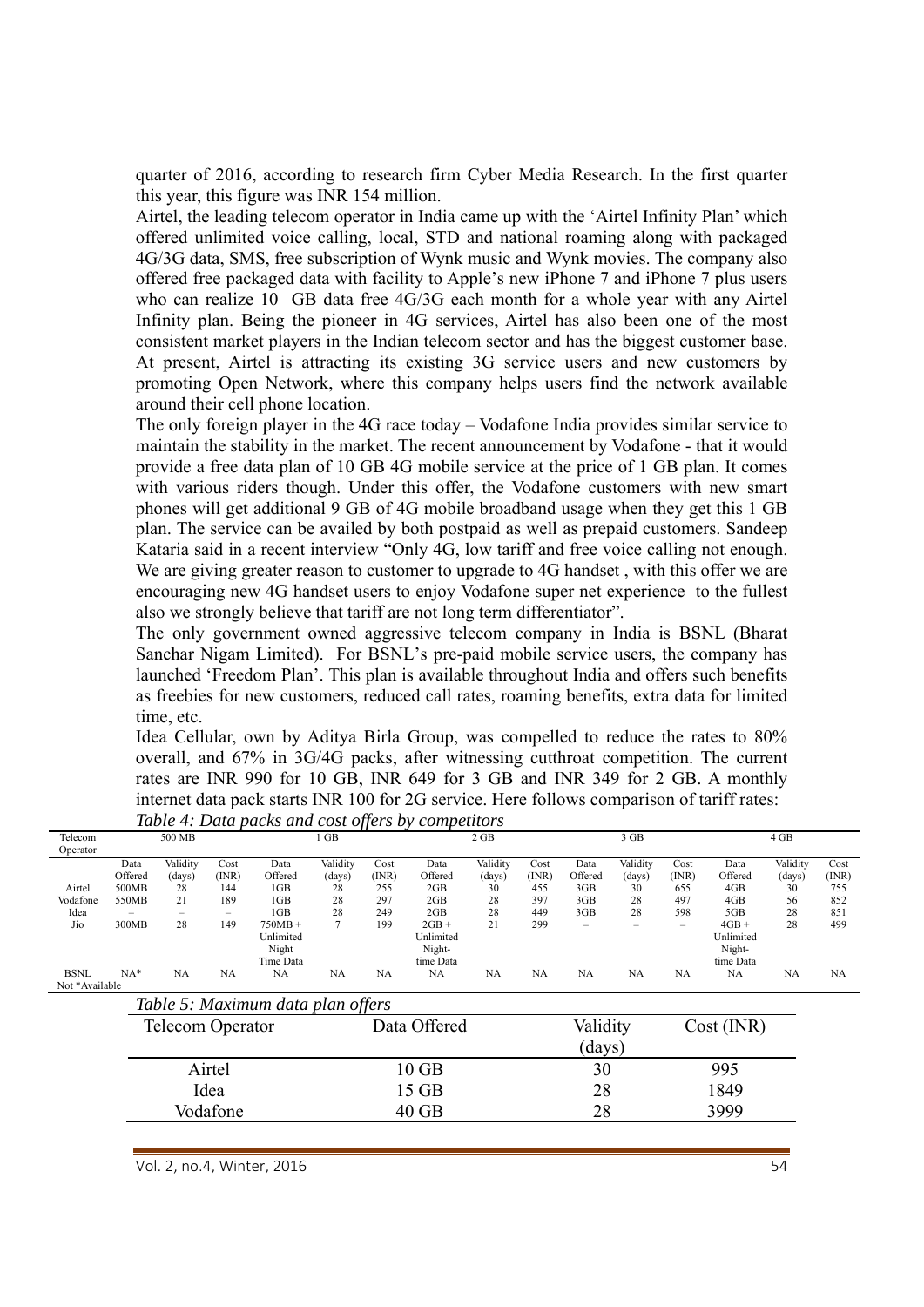quarter of 2016, according to research firm Cyber Media Research. In the first quarter this year, this figure was INR 154 million.

Airtel, the leading telecom operator in India came up with the 'Airtel Infinity Plan' which offered unlimited voice calling, local, STD and national roaming along with packaged 4G/3G data, SMS, free subscription of Wynk music and Wynk movies. The company also offered free packaged data with facility to Apple's new iPhone 7 and iPhone 7 plus users who can realize 10 GB data free 4G/3G each month for a whole year with any Airtel Infinity plan. Being the pioneer in 4G services, Airtel has also been one of the most consistent market players in the Indian telecom sector and has the biggest customer base. At present, Airtel is attracting its existing 3G service users and new customers by promoting Open Network, where this company helps users find the network available around their cell phone location.

The only foreign player in the 4G race today – Vodafone India provides similar service to maintain the stability in the market. The recent announcement by Vodafone - that it would provide a free data plan of 10 GB 4G mobile service at the price of 1 GB plan. It comes with various riders though. Under this offer, the Vodafone customers with new smart phones will get additional 9 GB of 4G mobile broadband usage when they get this 1 GB plan. The service can be availed by both postpaid as well as prepaid customers. Sandeep Kataria said in a recent interview "Only 4G, low tariff and free voice calling not enough. We are giving greater reason to customer to upgrade to 4G handset , with this offer we are encouraging new 4G handset users to enjoy Vodafone super net experience to the fullest also we strongly believe that tariff are not long term differentiator".

The only government owned aggressive telecom company in India is BSNL (Bharat Sanchar Nigam Limited). For BSNL's pre-paid mobile service users, the company has launched 'Freedom Plan'. This plan is available throughout India and offers such benefits as freebies for new customers, reduced call rates, roaming benefits, extra data for limited time, etc.

Idea Cellular, own by Aditya Birla Group, was compelled to reduce the rates to 80% overall, and 67% in 3G/4G packs, after witnessing cutthroat competition. The current rates are INR 990 for 10 GB, INR 649 for 3 GB and INR 349 for 2 GB. A monthly internet data pack starts INR 100 for 2G service. Here follows comparison of tariff rates:

| Telecom<br>Operator |                  | 500 MB   |       |                                   | 1 GB             |      |           | $2$ GB   |          |                                   | $3$ GB    |                          |           | 4 GB     |       |
|---------------------|------------------|----------|-------|-----------------------------------|------------------|------|-----------|----------|----------|-----------------------------------|-----------|--------------------------|-----------|----------|-------|
|                     | Data             | Validity | Cost  | Data                              | Validity         | Cost | Data      | Validity | Cost     | Data                              | Validity  | Cost                     | Data      | Validity | Cost  |
|                     | Offered          | (days)   | (INR) | Offered                           | (days)           | (NR) | Offered   | (days)   | (INR)    | Offered                           | (days)    | (INR)                    | Offered   | (days)   | (INR) |
| Airtel              | 500MB            | 28       | 144   | 1 <sub>GB</sub>                   | 28               | 255  | 2GB       | 30       | 455      | 3GB                               | 30        | 655                      | 4GB       | 30       | 755   |
| Vodafone            | 550MB            | 21       | 189   | 1 <sub>GB</sub>                   | 28               | 297  | 2GB       | 28       | 397      | 3GB                               | 28        | 497                      | 4GB       | 56       | 852   |
| Idea                |                  |          | -     | 1 <sub>GB</sub>                   | 28               | 249  | 2GB       | 28       | 449      | 3GB                               | 28        | 598                      | 5GB       | 28       | 851   |
| Jio                 | 300MB            | 28       | 149   | $750MB +$                         |                  | 199  | $2GB +$   | 21       | 299      | -                                 |           | $\overline{\phantom{a}}$ | $4GB +$   | 28       | 499   |
|                     |                  |          |       | Unlimited                         |                  |      | Unlimited |          |          |                                   |           |                          | Unlimited |          |       |
|                     |                  |          |       | Night                             |                  |      | Night-    |          |          |                                   |           |                          | Night-    |          |       |
|                     |                  |          |       | Time Data                         |                  |      | time Data |          |          |                                   |           |                          | time Data |          |       |
| <b>BSNL</b>         | $NA*$            | NA       | NA    | NA                                | NA               | NA   | <b>NA</b> | NA       | NA       | NA                                | <b>NA</b> | NA                       | NA        | NA       | NA.   |
| Not *Available      |                  |          |       |                                   |                  |      |           |          |          |                                   |           |                          |           |          |       |
|                     |                  |          |       | Table 5: Maximum data plan offers |                  |      |           |          |          |                                   |           |                          |           |          |       |
|                     | Telecom Operator |          |       | Data Offered                      |                  |      |           | Validity |          | Cost (INR)                        |           |                          |           |          |       |
|                     |                  |          |       |                                   |                  |      |           |          |          |                                   |           |                          |           |          |       |
|                     |                  |          |       |                                   |                  |      |           |          |          | $\frac{\text{days}}{\text{days}}$ |           |                          |           |          |       |
|                     | Airtel           |          |       |                                   | $10$ GB          |      |           |          | 30       |                                   |           | 995                      |           |          |       |
|                     | Idea<br>Vodafone |          |       |                                   | 15 GB<br>$40$ GB |      |           |          | 28<br>28 |                                   |           | 1849<br>3999             |           |          |       |
|                     |                  |          |       |                                   |                  |      |           |          |          |                                   |           |                          |           |          |       |
|                     |                  |          |       |                                   |                  |      |           |          |          |                                   |           |                          |           |          |       |

*Table 4: Data packs and cost offers by competitors* 

Vol. 2, no.4, Winter, 2016 54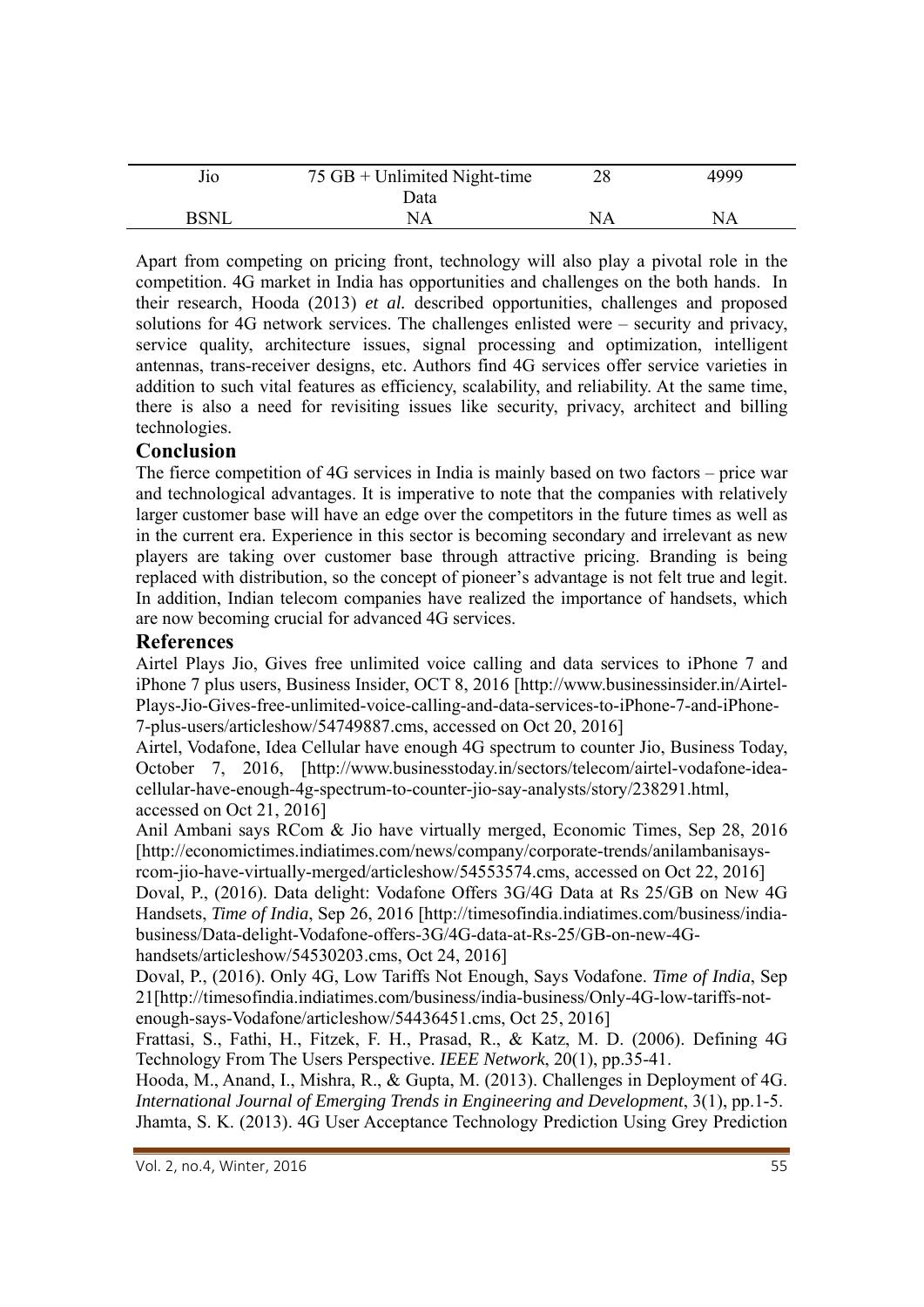| J10 | $75$ GB + Unlimited Night-time | 28     |   |
|-----|--------------------------------|--------|---|
|     | Data                           |        |   |
|     | Α<br>N                         | N<br>А | N |

Apart from competing on pricing front, technology will also play a pivotal role in the competition. 4G market in India has opportunities and challenges on the both hands. In their research, Hooda (2013) *et al.* described opportunities, challenges and proposed solutions for 4G network services. The challenges enlisted were – security and privacy, service quality, architecture issues, signal processing and optimization, intelligent antennas, trans-receiver designs, etc. Authors find 4G services offer service varieties in addition to such vital features as efficiency, scalability, and reliability. At the same time, there is also a need for revisiting issues like security, privacy, architect and billing technologies.

### **Conclusion**

The fierce competition of 4G services in India is mainly based on two factors – price war and technological advantages. It is imperative to note that the companies with relatively larger customer base will have an edge over the competitors in the future times as well as in the current era. Experience in this sector is becoming secondary and irrelevant as new players are taking over customer base through attractive pricing. Branding is being replaced with distribution, so the concept of pioneer's advantage is not felt true and legit. In addition, Indian telecom companies have realized the importance of handsets, which are now becoming crucial for advanced 4G services.

#### **References**

Airtel Plays Jio, Gives free unlimited voice calling and data services to iPhone 7 and iPhone 7 plus users, Business Insider, OCT 8, 2016 [http://www.businessinsider.in/Airtel-Plays-Jio-Gives-free-unlimited-voice-calling-and-data-services-to-iPhone-7-and-iPhone-7-plus-users/articleshow/54749887.cms, accessed on Oct 20, 2016]

Airtel, Vodafone, Idea Cellular have enough 4G spectrum to counter Jio, Business Today, October 7, 2016, [http://www.businesstoday.in/sectors/telecom/airtel-vodafone-ideacellular-have-enough-4g-spectrum-to-counter-jio-say-analysts/story/238291.html, accessed on Oct 21, 2016]

Anil Ambani says RCom & Jio have virtually merged, Economic Times, Sep 28, 2016 [http://economictimes.indiatimes.com/news/company/corporate-trends/anilambanisaysrcom-jio-have-virtually-merged/articleshow/54553574.cms, accessed on Oct 22, 2016]

Doval, P., (2016). Data delight: Vodafone Offers 3G/4G Data at Rs 25/GB on New 4G Handsets, *Time of India*, Sep 26, 2016 [http://timesofindia.indiatimes.com/business/indiabusiness/Data-delight-Vodafone-offers-3G/4G-data-at-Rs-25/GB-on-new-4Ghandsets/articleshow/54530203.cms, Oct 24, 2016]

Doval, P., (2016). Only 4G, Low Tariffs Not Enough, Says Vodafone. *Time of India*, Sep 21[http://timesofindia.indiatimes.com/business/india-business/Only-4G-low-tariffs-notenough-says-Vodafone/articleshow/54436451.cms, Oct 25, 2016]

Frattasi, S., Fathi, H., Fitzek, F. H., Prasad, R., & Katz, M. D. (2006). Defining 4G Technology From The Users Perspective. *IEEE Network*, 20(1), pp.35-41.

Hooda, M., Anand, I., Mishra, R., & Gupta, M. (2013). Challenges in Deployment of 4G. *International Journal of Emerging Trends in Engineering and Development*, 3(1), pp.1-5. Jhamta, S. K. (2013). 4G User Acceptance Technology Prediction Using Grey Prediction